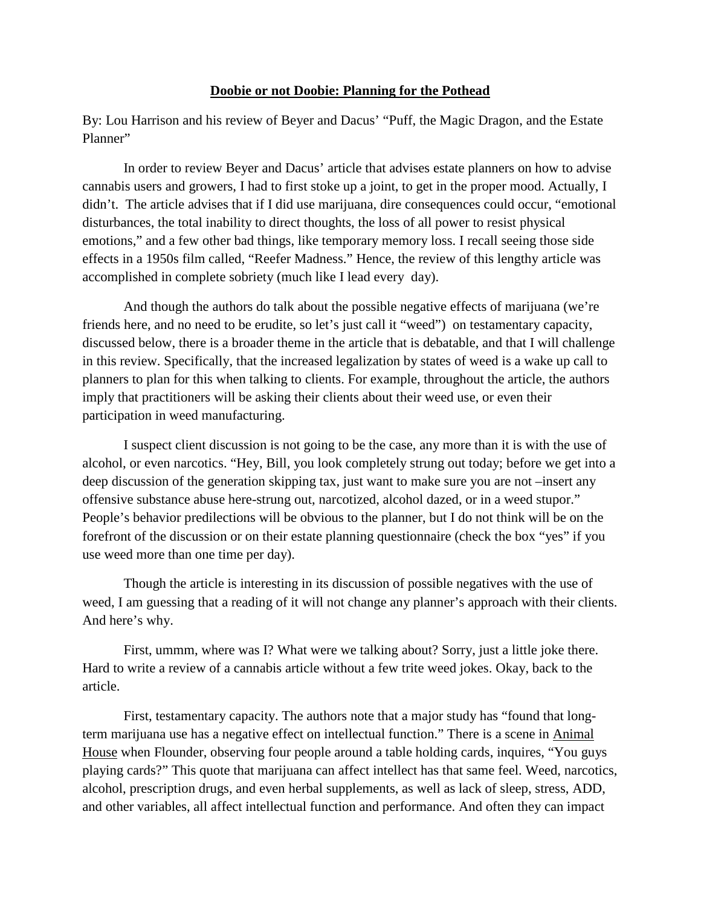## **Doobie or not Doobie: Planning for the Pothead**

By: Lou Harrison and his review of Beyer and Dacus' "Puff, the Magic Dragon, and the Estate Planner"

In order to review Beyer and Dacus' article that advises estate planners on how to advise cannabis users and growers, I had to first stoke up a joint, to get in the proper mood. Actually, I didn't. The article advises that if I did use marijuana, dire consequences could occur, "emotional disturbances, the total inability to direct thoughts, the loss of all power to resist physical emotions," and a few other bad things, like temporary memory loss. I recall seeing those side effects in a 1950s film called, "Reefer Madness." Hence, the review of this lengthy article was accomplished in complete sobriety (much like I lead every day).

And though the authors do talk about the possible negative effects of marijuana (we're friends here, and no need to be erudite, so let's just call it "weed") on testamentary capacity, discussed below, there is a broader theme in the article that is debatable, and that I will challenge in this review. Specifically, that the increased legalization by states of weed is a wake up call to planners to plan for this when talking to clients. For example, throughout the article, the authors imply that practitioners will be asking their clients about their weed use, or even their participation in weed manufacturing.

I suspect client discussion is not going to be the case, any more than it is with the use of alcohol, or even narcotics. "Hey, Bill, you look completely strung out today; before we get into a deep discussion of the generation skipping tax, just want to make sure you are not –insert any offensive substance abuse here-strung out, narcotized, alcohol dazed, or in a weed stupor." People's behavior predilections will be obvious to the planner, but I do not think will be on the forefront of the discussion or on their estate planning questionnaire (check the box "yes" if you use weed more than one time per day).

Though the article is interesting in its discussion of possible negatives with the use of weed, I am guessing that a reading of it will not change any planner's approach with their clients. And here's why.

First, ummm, where was I? What were we talking about? Sorry, just a little joke there. Hard to write a review of a cannabis article without a few trite weed jokes. Okay, back to the article.

First, testamentary capacity. The authors note that a major study has "found that longterm marijuana use has a negative effect on intellectual function." There is a scene in Animal House when Flounder, observing four people around a table holding cards, inquires, "You guys playing cards?" This quote that marijuana can affect intellect has that same feel. Weed, narcotics, alcohol, prescription drugs, and even herbal supplements, as well as lack of sleep, stress, ADD, and other variables, all affect intellectual function and performance. And often they can impact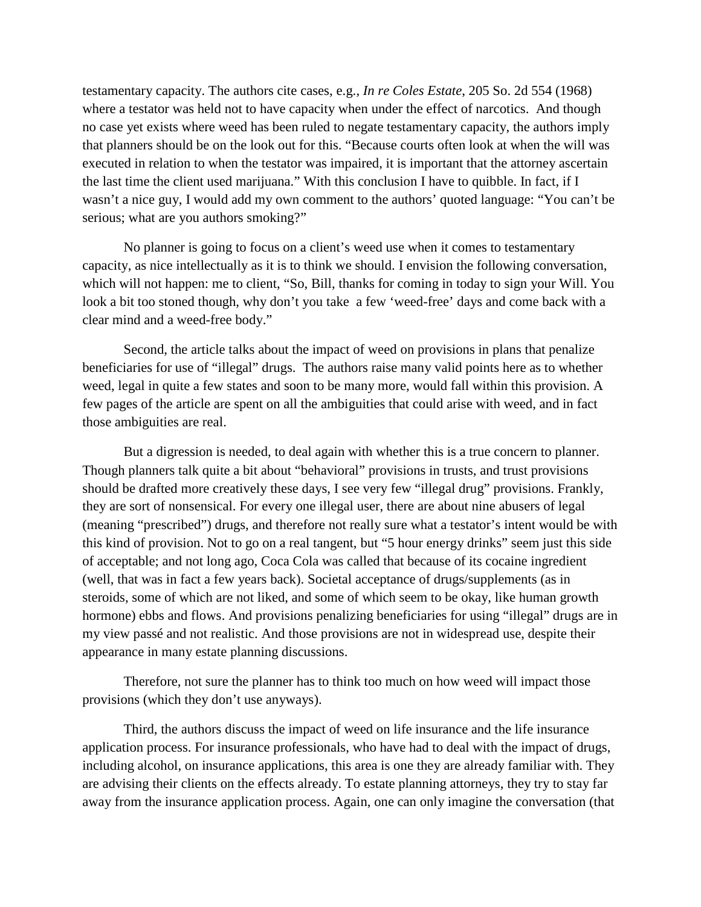testamentary capacity. The authors cite cases, e.g., *In re Coles Estate*, 205 So. 2d 554 (1968) where a testator was held not to have capacity when under the effect of narcotics. And though no case yet exists where weed has been ruled to negate testamentary capacity, the authors imply that planners should be on the look out for this. "Because courts often look at when the will was executed in relation to when the testator was impaired, it is important that the attorney ascertain the last time the client used marijuana." With this conclusion I have to quibble. In fact, if I wasn't a nice guy, I would add my own comment to the authors' quoted language: "You can't be serious; what are you authors smoking?"

No planner is going to focus on a client's weed use when it comes to testamentary capacity, as nice intellectually as it is to think we should. I envision the following conversation, which will not happen: me to client, "So, Bill, thanks for coming in today to sign your Will. You look a bit too stoned though, why don't you take a few 'weed-free' days and come back with a clear mind and a weed-free body."

Second, the article talks about the impact of weed on provisions in plans that penalize beneficiaries for use of "illegal" drugs. The authors raise many valid points here as to whether weed, legal in quite a few states and soon to be many more, would fall within this provision. A few pages of the article are spent on all the ambiguities that could arise with weed, and in fact those ambiguities are real.

But a digression is needed, to deal again with whether this is a true concern to planner. Though planners talk quite a bit about "behavioral" provisions in trusts, and trust provisions should be drafted more creatively these days, I see very few "illegal drug" provisions. Frankly, they are sort of nonsensical. For every one illegal user, there are about nine abusers of legal (meaning "prescribed") drugs, and therefore not really sure what a testator's intent would be with this kind of provision. Not to go on a real tangent, but "5 hour energy drinks" seem just this side of acceptable; and not long ago, Coca Cola was called that because of its cocaine ingredient (well, that was in fact a few years back). Societal acceptance of drugs/supplements (as in steroids, some of which are not liked, and some of which seem to be okay, like human growth hormone) ebbs and flows. And provisions penalizing beneficiaries for using "illegal" drugs are in my view passé and not realistic. And those provisions are not in widespread use, despite their appearance in many estate planning discussions.

Therefore, not sure the planner has to think too much on how weed will impact those provisions (which they don't use anyways).

Third, the authors discuss the impact of weed on life insurance and the life insurance application process. For insurance professionals, who have had to deal with the impact of drugs, including alcohol, on insurance applications, this area is one they are already familiar with. They are advising their clients on the effects already. To estate planning attorneys, they try to stay far away from the insurance application process. Again, one can only imagine the conversation (that